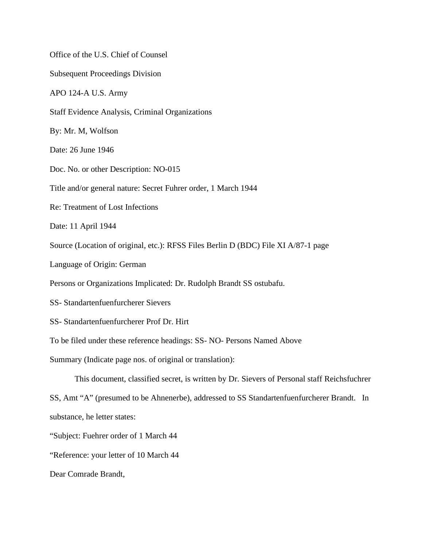Office of the U.S. Chief of Counsel Subsequent Proceedings Division APO 124-A U.S. Army Staff Evidence Analysis, Criminal Organizations By: Mr. M, Wolfson Date: 26 June 1946 Doc. No. or other Description: NO-015 Title and/or general nature: Secret Fuhrer order, 1 March 1944 Re: Treatment of Lost Infections Date: 11 April 1944 Source (Location of original, etc.): RFSS Files Berlin D (BDC) File XI A/87-1 page Language of Origin: German Persons or Organizations Implicated: Dr. Rudolph Brandt SS ostubafu. SS- Standartenfuenfurcherer Sievers SS- Standartenfuenfurcherer Prof Dr. Hirt To be filed under these reference headings: SS- NO- Persons Named Above Summary (Indicate page nos. of original or translation): This document, classified secret, is written by Dr. Sievers of Personal staff Reichsfuchrer SS, Amt "A" (presumed to be Ahnenerbe), addressed to SS Standartenfuenfurcherer Brandt. In substance, he letter states: "Subject: Fuehrer order of 1 March 44 "Reference: your letter of 10 March 44 Dear Comrade Brandt,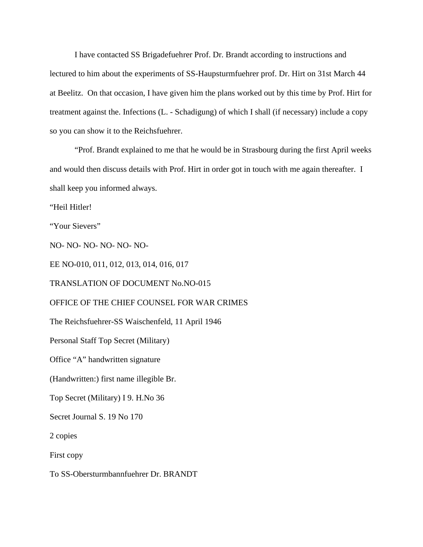I have contacted SS Brigadefuehrer Prof. Dr. Brandt according to instructions and lectured to him about the experiments of SS-Haupsturmfuehrer prof. Dr. Hirt on 31st March 44 at Beelitz. On that occasion, I have given him the plans worked out by this time by Prof. Hirt for treatment against the. Infections (L. - Schadigung) of which I shall (if necessary) include a copy so you can show it to the Reichsfuehrer.

"Prof. Brandt explained to me that he would be in Strasbourg during the first April weeks and would then discuss details with Prof. Hirt in order got in touch with me again thereafter. I shall keep you informed always.

"Heil Hitler!

"Your Sievers"

NO- NO- NO- NO- NO- NO-

EE NO-010, 011, 012, 013, 014, 016, 017

TRANSLATION OF DOCUMENT No.NO-015

OFFICE OF THE CHIEF COUNSEL FOR WAR CRIMES

The Reichsfuehrer-SS Waischenfeld, 11 April 1946

Personal Staff Top Secret (Military)

Office "A" handwritten signature

(Handwritten:) first name illegible Br.

Top Secret (Military) I 9. H.No 36

Secret Journal S. 19 No 170

2 copies

First copy

To SS-Obersturmbannfuehrer Dr. BRANDT